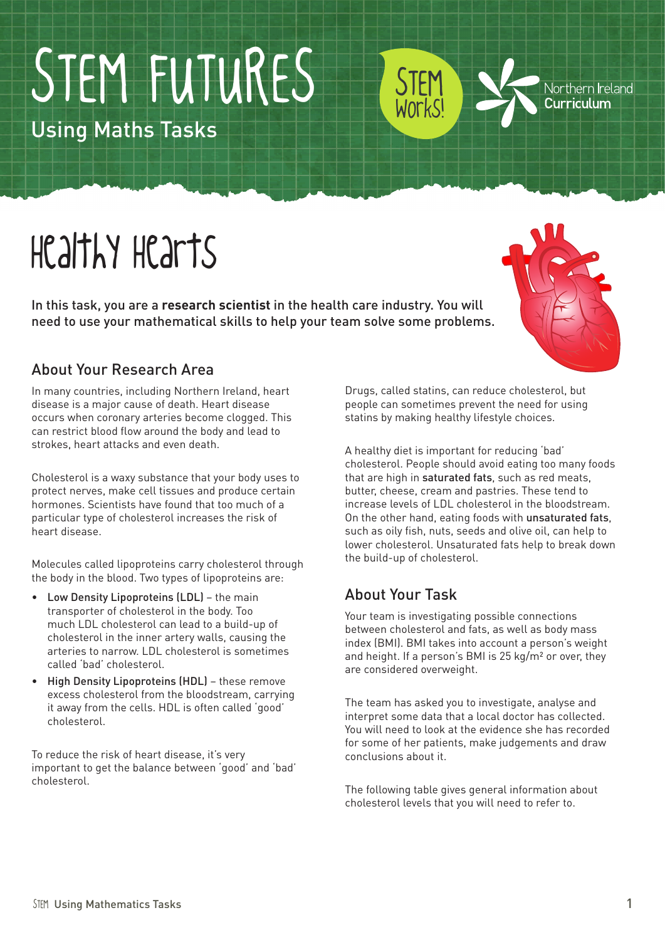# STEM FUTURES

Using Maths Tasks

## Healthy Hearts

In this task, you are a **research scientist** in the health care industry. You will need to use your mathematical skills to help your team solve some problems.

#### About Your Research Area

In many countries, including Northern Ireland, heart disease is a major cause of death. Heart disease occurs when coronary arteries become clogged. This can restrict blood flow around the body and lead to strokes, heart attacks and even death.

Cholesterol is a waxy substance that your body uses to protect nerves, make cell tissues and produce certain hormones. Scientists have found that too much of a particular type of cholesterol increases the risk of heart disease.

Molecules called lipoproteins carry cholesterol through the body in the blood. Two types of lipoproteins are:

- Low Density Lipoproteins (LDL) the main transporter of cholesterol in the body. Too much LDL cholesterol can lead to a build-up of cholesterol in the inner artery walls, causing the arteries to narrow. LDL cholesterol is sometimes called 'bad' cholesterol.
- • High Density Lipoproteins (HDL) these remove excess cholesterol from the bloodstream, carrying it away from the cells. HDL is often called 'good' cholesterol.

To reduce the risk of heart disease, it's very important to get the balance between 'good' and 'bad' cholesterol.

Drugs, called statins, can reduce cholesterol, but people can sometimes prevent the need for using statins by making healthy lifestyle choices.

STEM

Works!

A healthy diet is important for reducing 'bad' cholesterol. People should avoid eating too many foods that are high in saturated fats, such as red meats, butter, cheese, cream and pastries. These tend to increase levels of LDL cholesterol in the bloodstream. On the other hand, eating foods with unsaturated fats, such as oily fish, nuts, seeds and olive oil, can help to lower cholesterol. Unsaturated fats help to break down the build-up of cholesterol.

#### About Your Task

Your team is investigating possible connections between cholesterol and fats, as well as body mass index (BMI). BMI takes into account a person's weight and height. If a person's BMI is 25 kg/m² or over, they are considered overweight.

The team has asked you to investigate, analyse and interpret some data that a local doctor has collected. You will need to look at the evidence she has recorded for some of her patients, make judgements and draw conclusions about it.

The following table gives general information about cholesterol levels that you will need to refer to.



Northern Ireland Curriculum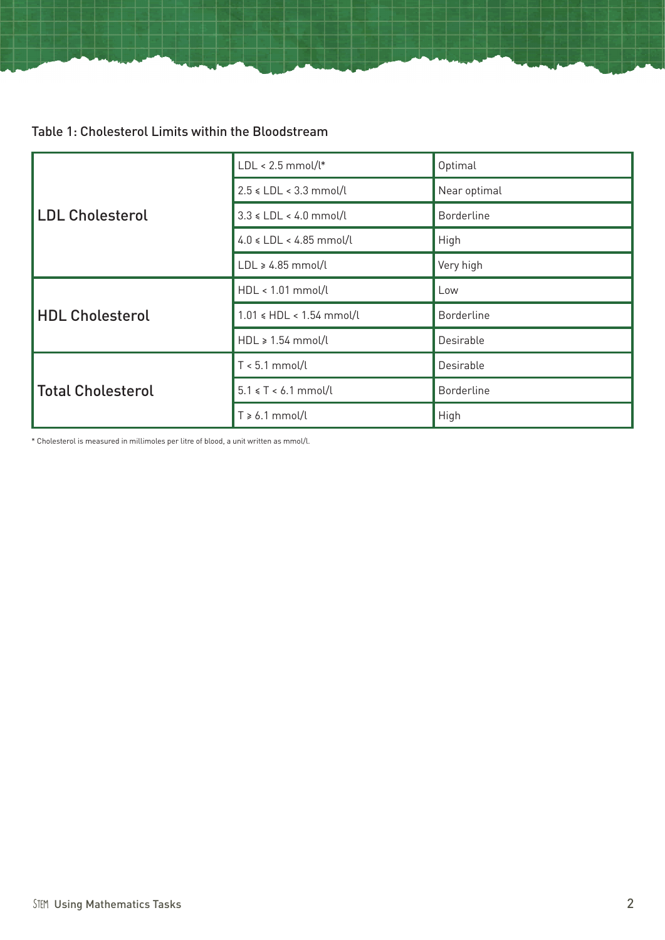Table 1: Cholesterol Limits within the Bloodstream

| <b>LDL Cholesterol</b>   | $LDL < 2.5$ mmol/l*           | Optimal           |  |
|--------------------------|-------------------------------|-------------------|--|
|                          | $2.5 \leq LDL < 3.3$ mmol/l   | Near optimal      |  |
|                          | $3.3 \leq LDL < 4.0$ mmol/l   | <b>Borderline</b> |  |
|                          | $4.0 \leq LDL < 4.85$ mmol/l  | High              |  |
|                          | $LDL \ge 4.85$ mmol/l         | Very high         |  |
| <b>HDL Cholesterol</b>   | HDL < 1.01 mmol/l             | Low               |  |
|                          | $1.01 \leq HDL < 1.54$ mmol/l | <b>Borderline</b> |  |
|                          | $HDL \geq 1.54$ mmol/l        | Desirable         |  |
| <b>Total Cholesterol</b> | $T < 5.1$ mmol/l              | Desirable         |  |
|                          | $5.1 \le T \le 6.1$ mmol/l    | <b>Borderline</b> |  |
|                          | $T \ge 6.1$ mmol/l            | High              |  |

\* Cholesterol is measured in millimoles per litre of blood, a unit written as mmol/l.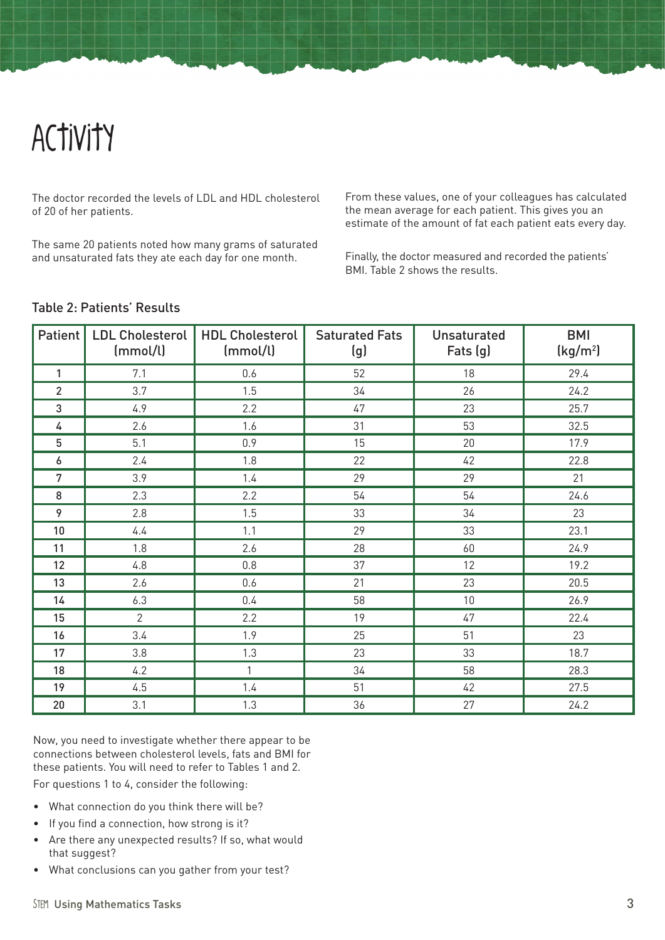### Activity

The doctor recorded the levels of LDL and HDL cholesterol of 20 of her patients.

The same 20 patients noted how many grams of saturated and unsaturated fats they ate each day for one month.

From these values, one of your colleagues has calculated the mean average for each patient. This gives you an estimate of the amount of fat each patient eats every day.

Finally, the doctor measured and recorded the patients' BMI. Table 2 shows the results.

#### Table 2: Patients' Results

| Patient        | LDL Cholesterol<br>(mmol/l) | <b>HDL Cholesterol</b><br>(mmol/l) | <b>Saturated Fats</b><br>(g) | <b>Unsaturated</b><br>Fats (g) | <b>BMI</b><br>(kg/m <sup>2</sup> ) |
|----------------|-----------------------------|------------------------------------|------------------------------|--------------------------------|------------------------------------|
| 1              | 7.1                         | 0.6                                | 52                           | 18                             | 29.4                               |
| $\overline{2}$ | 3.7                         | 1.5                                | 34                           | 26                             | 24.2                               |
| 3              | 4.9                         | 2.2                                | 47                           | 23                             | 25.7                               |
| 4              | 2.6                         | 1.6                                | 31                           | 53                             | 32.5                               |
| 5              | 5.1                         | 0.9                                | 15                           | 20                             | 17.9                               |
| 6              | 2.4                         | 1.8                                | 22                           | 42                             | 22.8                               |
| $\overline{7}$ | 3.9                         | 1.4                                | 29                           | 29                             | 21                                 |
| 8              | 2.3                         | 2.2                                | 54                           | 54                             | 24.6                               |
| 9              | 2.8                         | 1.5                                | 33                           | 34                             | 23                                 |
| 10             | 4.4                         | 1.1                                | 29                           | 33                             | 23.1                               |
| 11             | 1.8                         | 2.6                                | 28                           | 60                             | 24.9                               |
| 12             | 4.8                         | 0.8                                | 37                           | 12                             | 19.2                               |
| 13             | 2.6                         | 0.6                                | 21                           | 23                             | 20.5                               |
| 14             | 6.3                         | 0.4                                | 58                           | $10\,$                         | 26.9                               |
| 15             | $\overline{2}$              | 2.2                                | 19                           | 47                             | 22.4                               |
| 16             | 3.4                         | 1.9                                | 25                           | 51                             | 23                                 |
| 17             | 3.8                         | 1.3                                | 23                           | 33                             | 18.7                               |
| 18             | 4.2                         | $\mathbf{1}$                       | 34                           | 58                             | 28.3                               |
| 19             | 4.5                         | 1.4                                | 51                           | 42                             | 27.5                               |
| 20             | 3.1                         | 1.3                                | 36                           | 27                             | 24.2                               |

Now, you need to investigate whether there appear to be connections between cholesterol levels, fats and BMI for these patients. You will need to refer to Tables 1 and 2.

For questions 1 to 4, consider the following:

- What connection do you think there will be?
- If you find a connection, how strong is it?
- Are there any unexpected results? If so, what would that suggest?
- • What conclusions can you gather from your test?